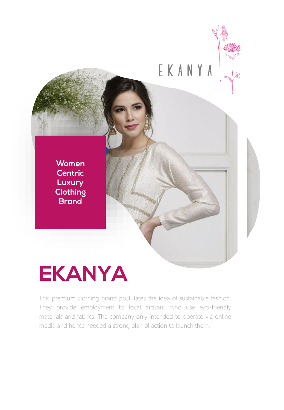

### **EKANYA**

This premium clothing brand postulates the idea of sustainable fashion. They provide employment to local artisans who use eco-friendly materials and fabrics. The company only intended to operate via online media and hence needed a strong plan of action to launch them.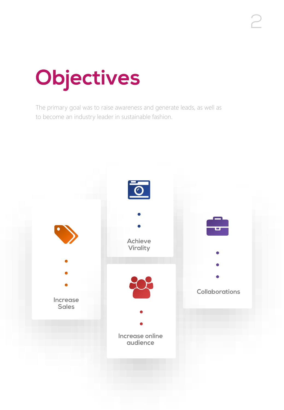# Objectives

The primary goal was to raise awareness and generate leads, as well as to become an industry leader in sustainable fashion.

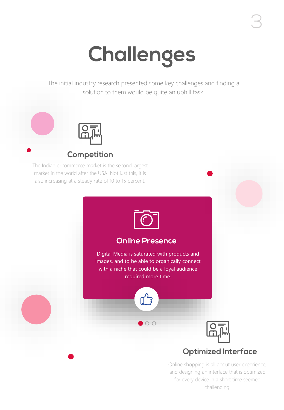## Challenges

The initial industry research presented some key challenges and finding a solution to them would be quite an uphill task.



### **Competition**

The Indian e-commerce market is the second largest market in the world after the USA. Not just this, it is also increasing at a steady rate of 10 to 15 percent.



### **Online Presence**

Digital Media is saturated with products and images, and to be able to organically connect with a niche that could be a loyal audience required more time.



 $O$ 



### **Optimized Interface**

Online shopping is all about user experience, and designing an interface that is optimized for every device in a short time seemed challenging.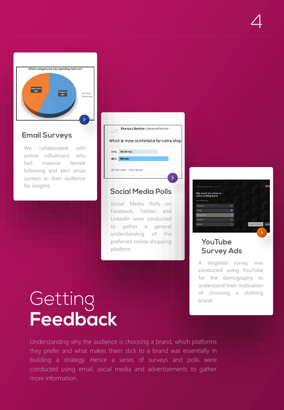

### **Email Surveys**

We collaborated with online influencers who had massive female following and sent email surveys to their audience for insights

|     | Ekanya Lifestyle @ekanyalifestyle .       |
|-----|-------------------------------------------|
|     | Which is more comfortable for online shop |
| 44% | <b>Mobile App</b>                         |
| 56% | <b>Website</b>                            |
|     | 26,353 votes · Final results              |

### **Social Media Polls**

Social Media Polls on Facebook, Twitter, and LinkedIn were conducted to gather a general understanding of the preferred online shopping platform.



#### **YouTube Survey Ads**

A targeted survey was conducted using YouTube for the demography to understand their motivation of choosing a clothing brand.

# Getting<br>Feedback

Understanding why the audience is choosing a brand, which platforms they prefer and what makes them stick to a brand was essentially in building a strategy. Hence a series of surveys and polls were conducted using email, social media and advertisements to gather more information.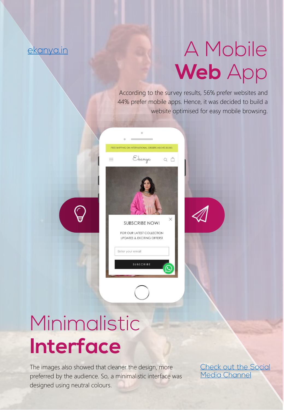### ekanya.in

### A Mobile Web App

According to the survey results, 56% prefer websites and 44% prefer mobile apps. Hence, it was decided to build a website optimised for easy mobile browsing.



### Minimalistic Interface

The images also showed that cleaner the design, more preferred by the audience. So, a minimalistic interface was designed using neutral colours.

Check out the Social<br>Media Channel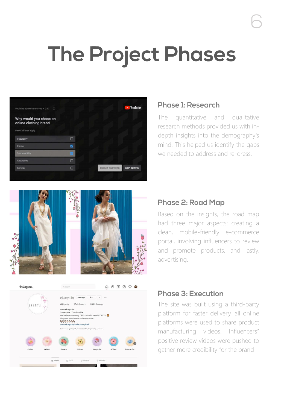### **The Project Phases**



#### **Phase 1: Research**

The quantitative and qualitative research methods provided us with indepth insights into the demography's mind. This helped us identify the gaps we needed to address and re-dress.





#### **Phase 2: Road Map**

Based on the insights, the road map had three major aspects: creating a clean, mobile-friendly e-commerce portal, involving influencers to review and promote products, and lastly, advertising.

#### Phase 3: Execution

The site was built using a third-party platform for faster delivery, all online platforms were used to share product manufacturing videos. Influencers'' positive review videos were pushed to gather more credibility for the brand